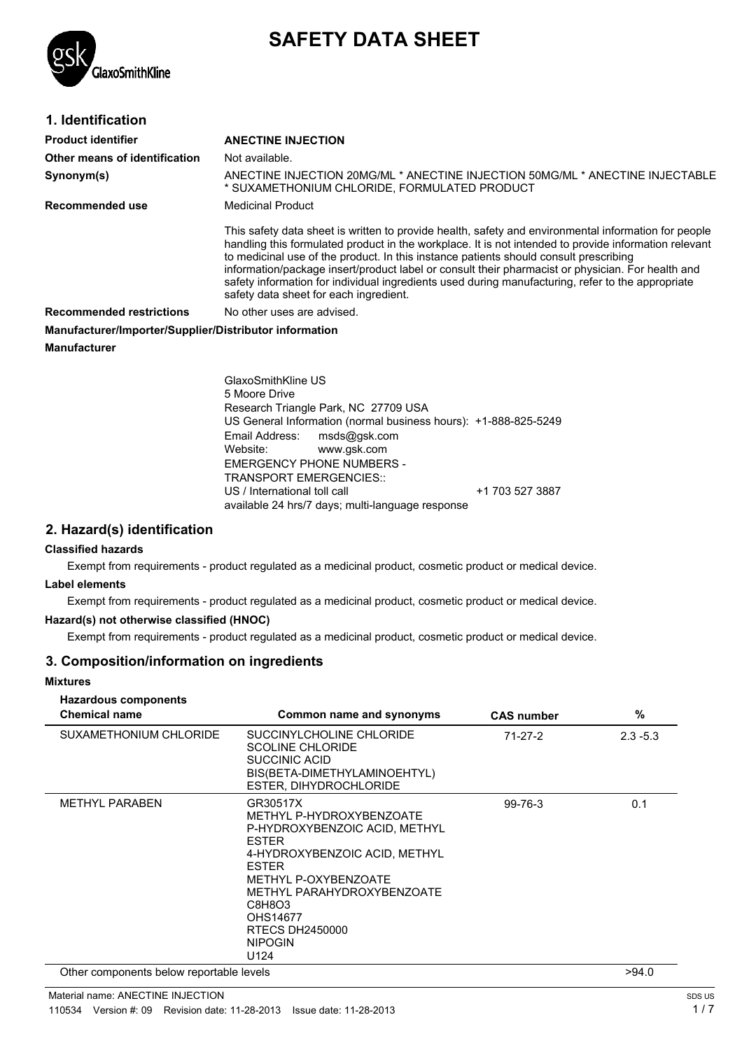

# **SAFETY DATA SHEET**

| 1. Identification                                      |                                                                                                                                                                                                                                                                                                                                                                                                                                                                                                                                                            |  |  |
|--------------------------------------------------------|------------------------------------------------------------------------------------------------------------------------------------------------------------------------------------------------------------------------------------------------------------------------------------------------------------------------------------------------------------------------------------------------------------------------------------------------------------------------------------------------------------------------------------------------------------|--|--|
| <b>Product identifier</b>                              | <b>ANECTINE INJECTION</b>                                                                                                                                                                                                                                                                                                                                                                                                                                                                                                                                  |  |  |
| Other means of identification                          | Not available.                                                                                                                                                                                                                                                                                                                                                                                                                                                                                                                                             |  |  |
| Synonym(s)                                             | ANECTINE INJECTION 20MG/ML * ANECTINE INJECTION 50MG/ML * ANECTINE INJECTABLE<br>* SUXAMETHONIUM CHLORIDE, FORMULATED PRODUCT                                                                                                                                                                                                                                                                                                                                                                                                                              |  |  |
| <b>Recommended use</b>                                 | <b>Medicinal Product</b>                                                                                                                                                                                                                                                                                                                                                                                                                                                                                                                                   |  |  |
|                                                        | This safety data sheet is written to provide health, safety and environmental information for people<br>handling this formulated product in the workplace. It is not intended to provide information relevant<br>to medicinal use of the product. In this instance patients should consult prescribing<br>information/package insert/product label or consult their pharmacist or physician. For health and<br>safety information for individual ingredients used during manufacturing, refer to the appropriate<br>safety data sheet for each ingredient. |  |  |
| <b>Recommended restrictions</b>                        | No other uses are advised.                                                                                                                                                                                                                                                                                                                                                                                                                                                                                                                                 |  |  |
| Manufacturer/Importer/Supplier/Distributor information |                                                                                                                                                                                                                                                                                                                                                                                                                                                                                                                                                            |  |  |
| <b>Manufacturer</b>                                    |                                                                                                                                                                                                                                                                                                                                                                                                                                                                                                                                                            |  |  |
|                                                        | GlaxoSmithKline US<br>5 Moore Drive<br>Research Triangle Park, NC 27709 USA                                                                                                                                                                                                                                                                                                                                                                                                                                                                                |  |  |

Research Triangle Park, NC 27709 USA US General Information (normal business hours): +1-888-825-5249 Email Address: msds@gsk.com<br>Website: www.gsk.com www.gsk.com EMERGENCY PHONE NUMBERS - TRANSPORT EMERGENCIES:: US / International toll call  $+1$  703 527 3887 available 24 hrs/7 days; multi-language response

### **2. Hazard(s) identification**

### **Classified hazards**

Exempt from requirements - product regulated as a medicinal product, cosmetic product or medical device.

#### **Label elements**

Exempt from requirements - product regulated as a medicinal product, cosmetic product or medical device.

#### **Hazard(s) not otherwise classified (HNOC)**

Exempt from requirements - product regulated as a medicinal product, cosmetic product or medical device.

### **3. Composition/information on ingredients**

| <b>Mixtures</b>                                                                                                                                                                                                                                                                                 |                                                                                                                                |                   |       |
|-------------------------------------------------------------------------------------------------------------------------------------------------------------------------------------------------------------------------------------------------------------------------------------------------|--------------------------------------------------------------------------------------------------------------------------------|-------------------|-------|
| <b>Hazardous components</b><br><b>Chemical name</b>                                                                                                                                                                                                                                             | Common name and synonyms                                                                                                       | <b>CAS number</b> | %     |
| SUXAMETHONIUM CHLORIDE                                                                                                                                                                                                                                                                          | SUCCINYLCHOLINE CHLORIDE<br><b>SCOLINE CHLORIDE</b><br>SUCCINIC ACID<br>BIS(BETA-DIMETHYLAMINOEHTYL)<br>ESTER, DIHYDROCHLORIDE | $71-27-2$         |       |
| <b>METHYL PARABEN</b><br>GR30517X<br>METHYL P-HYDROXYBENZOATE<br>P-HYDROXYBENZOIC ACID, METHYL<br><b>ESTER</b><br>4-HYDROXYBENZOIC ACID, METHYL<br><b>ESTER</b><br>METHYL P-OXYBENZOATE<br>METHYL PARAHYDROXYBENZOATE<br>C8H8O3<br>OHS14677<br><b>RTECS DH2450000</b><br><b>NIPOGIN</b><br>U124 |                                                                                                                                | 99-76-3           | 0.1   |
| Other components below reportable levels                                                                                                                                                                                                                                                        |                                                                                                                                |                   | >94.0 |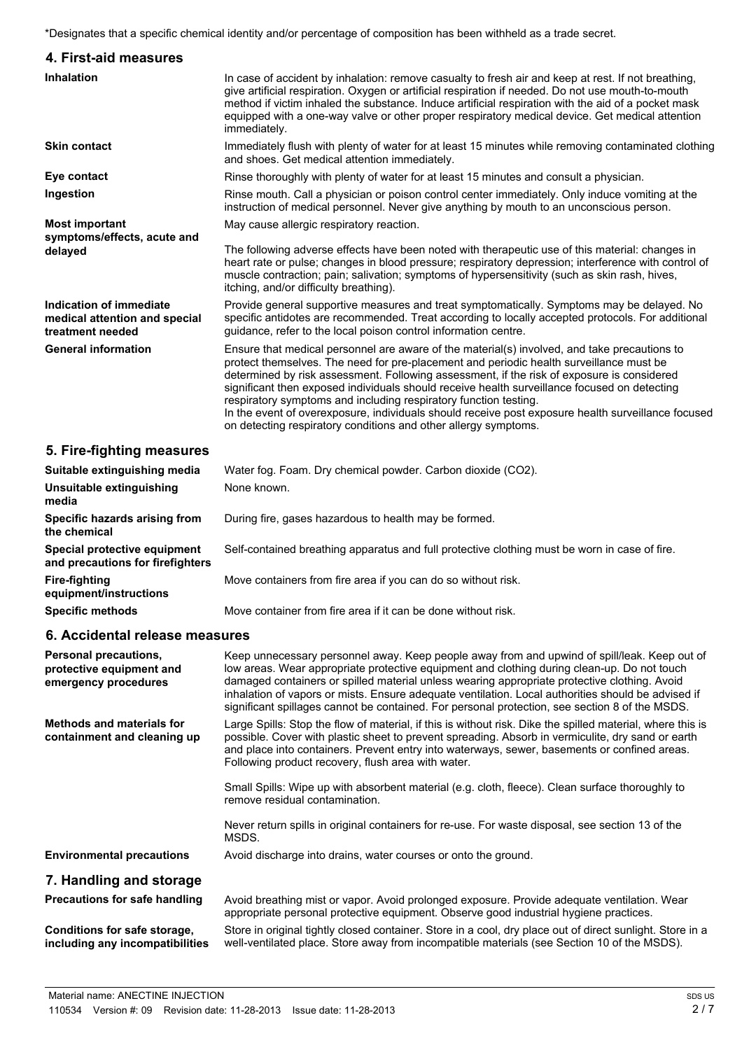\*Designates that a specific chemical identity and/or percentage of composition has been withheld as a trade secret.

| 4. First-aid measures                                                        |                                                                                                                                                                                                                                                                                                                                                                                                                                                                                                                                                                                                                                    |
|------------------------------------------------------------------------------|------------------------------------------------------------------------------------------------------------------------------------------------------------------------------------------------------------------------------------------------------------------------------------------------------------------------------------------------------------------------------------------------------------------------------------------------------------------------------------------------------------------------------------------------------------------------------------------------------------------------------------|
| <b>Inhalation</b>                                                            | In case of accident by inhalation: remove casualty to fresh air and keep at rest. If not breathing,<br>give artificial respiration. Oxygen or artificial respiration if needed. Do not use mouth-to-mouth<br>method if victim inhaled the substance. Induce artificial respiration with the aid of a pocket mask<br>equipped with a one-way valve or other proper respiratory medical device. Get medical attention<br>immediately.                                                                                                                                                                                                |
| <b>Skin contact</b>                                                          | Immediately flush with plenty of water for at least 15 minutes while removing contaminated clothing<br>and shoes. Get medical attention immediately.                                                                                                                                                                                                                                                                                                                                                                                                                                                                               |
| Eye contact                                                                  | Rinse thoroughly with plenty of water for at least 15 minutes and consult a physician.                                                                                                                                                                                                                                                                                                                                                                                                                                                                                                                                             |
| Ingestion                                                                    | Rinse mouth. Call a physician or poison control center immediately. Only induce vomiting at the<br>instruction of medical personnel. Never give anything by mouth to an unconscious person.                                                                                                                                                                                                                                                                                                                                                                                                                                        |
| <b>Most important</b><br>symptoms/effects, acute and                         | May cause allergic respiratory reaction.                                                                                                                                                                                                                                                                                                                                                                                                                                                                                                                                                                                           |
| delayed                                                                      | The following adverse effects have been noted with therapeutic use of this material: changes in<br>heart rate or pulse; changes in blood pressure; respiratory depression; interference with control of<br>muscle contraction; pain; salivation; symptoms of hypersensitivity (such as skin rash, hives,<br>itching, and/or difficulty breathing).                                                                                                                                                                                                                                                                                 |
| Indication of immediate<br>medical attention and special<br>treatment needed | Provide general supportive measures and treat symptomatically. Symptoms may be delayed. No<br>specific antidotes are recommended. Treat according to locally accepted protocols. For additional<br>guidance, refer to the local poison control information centre.                                                                                                                                                                                                                                                                                                                                                                 |
| <b>General information</b>                                                   | Ensure that medical personnel are aware of the material(s) involved, and take precautions to<br>protect themselves. The need for pre-placement and periodic health surveillance must be<br>determined by risk assessment. Following assessment, if the risk of exposure is considered<br>significant then exposed individuals should receive health surveillance focused on detecting<br>respiratory symptoms and including respiratory function testing.<br>In the event of overexposure, individuals should receive post exposure health surveillance focused<br>on detecting respiratory conditions and other allergy symptoms. |

# **5. Fire-fighting measures**

| Suitable extinguishing media<br>Unsuitable extinguishing<br>media | Water fog. Foam. Dry chemical powder. Carbon dioxide (CO2).<br>None known.                    |  |
|-------------------------------------------------------------------|-----------------------------------------------------------------------------------------------|--|
| Specific hazards arising from<br>the chemical                     | During fire, gases hazardous to health may be formed.                                         |  |
| Special protective equipment<br>and precautions for firefighters  | Self-contained breathing apparatus and full protective clothing must be worn in case of fire. |  |
| Fire-fighting<br>equipment/instructions                           | Move containers from fire area if you can do so without risk.                                 |  |
| <b>Specific methods</b>                                           | Move container from fire area if it can be done without risk.                                 |  |
| 6. Accidental release measures                                    |                                                                                               |  |

| Personal precautions,<br>protective equipment and<br>emergency procedures | Keep unnecessary personnel away. Keep people away from and upwind of spill/leak. Keep out of<br>low areas. Wear appropriate protective equipment and clothing during clean-up. Do not touch<br>damaged containers or spilled material unless wearing appropriate protective clothing. Avoid<br>inhalation of vapors or mists. Ensure adequate ventilation. Local authorities should be advised if<br>significant spillages cannot be contained. For personal protection, see section 8 of the MSDS. |
|---------------------------------------------------------------------------|-----------------------------------------------------------------------------------------------------------------------------------------------------------------------------------------------------------------------------------------------------------------------------------------------------------------------------------------------------------------------------------------------------------------------------------------------------------------------------------------------------|
| <b>Methods and materials for</b><br>containment and cleaning up           | Large Spills: Stop the flow of material, if this is without risk. Dike the spilled material, where this is<br>possible. Cover with plastic sheet to prevent spreading. Absorb in vermiculite, dry sand or earth<br>and place into containers. Prevent entry into waterways, sewer, basements or confined areas.<br>Following product recovery, flush area with water.                                                                                                                               |
|                                                                           | Small Spills: Wipe up with absorbent material (e.g. cloth, fleece). Clean surface thoroughly to<br>remove residual contamination.                                                                                                                                                                                                                                                                                                                                                                   |
|                                                                           | Never return spills in original containers for re-use. For waste disposal, see section 13 of the<br>MSDS.                                                                                                                                                                                                                                                                                                                                                                                           |
| <b>Environmental precautions</b>                                          | Avoid discharge into drains, water courses or onto the ground.                                                                                                                                                                                                                                                                                                                                                                                                                                      |
| 7. Handling and storage                                                   |                                                                                                                                                                                                                                                                                                                                                                                                                                                                                                     |
| Precautions for safe handling                                             | Avoid breathing mist or vapor. Avoid prolonged exposure. Provide adequate ventilation. Wear<br>appropriate personal protective equipment. Observe good industrial hygiene practices.                                                                                                                                                                                                                                                                                                                |
| Conditions for safe storage,<br>including any incompatibilities           | Store in original tightly closed container. Store in a cool, dry place out of direct sunlight. Store in a<br>well-ventilated place. Store away from incompatible materials (see Section 10 of the MSDS).                                                                                                                                                                                                                                                                                            |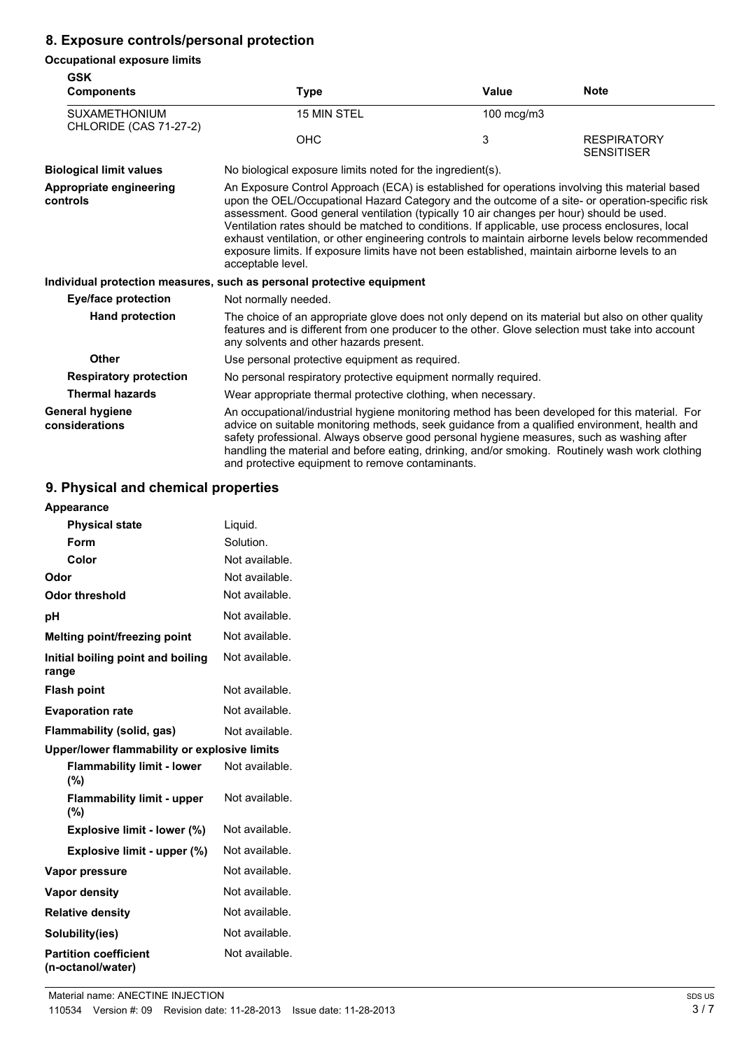# **8. Exposure controls/personal protection**

### **Occupational exposure limits**

| <b>GSK</b><br><b>Components</b>                       | <b>Type</b>                                                                                                                                                                                                                                                                                                                                                                                                                                                                                                                                                                                                                | Value      | <b>Note</b>                             |
|-------------------------------------------------------|----------------------------------------------------------------------------------------------------------------------------------------------------------------------------------------------------------------------------------------------------------------------------------------------------------------------------------------------------------------------------------------------------------------------------------------------------------------------------------------------------------------------------------------------------------------------------------------------------------------------------|------------|-----------------------------------------|
| <b>SUXAMETHONIUM</b><br><b>CHLORIDE (CAS 71-27-2)</b> | 15 MIN STEL                                                                                                                                                                                                                                                                                                                                                                                                                                                                                                                                                                                                                | 100 mcg/m3 |                                         |
|                                                       | <b>OHC</b>                                                                                                                                                                                                                                                                                                                                                                                                                                                                                                                                                                                                                 | 3          | <b>RESPIRATORY</b><br><b>SENSITISER</b> |
| <b>Biological limit values</b>                        | No biological exposure limits noted for the ingredient(s).                                                                                                                                                                                                                                                                                                                                                                                                                                                                                                                                                                 |            |                                         |
| Appropriate engineering<br>controls                   | An Exposure Control Approach (ECA) is established for operations involving this material based<br>upon the OEL/Occupational Hazard Category and the outcome of a site- or operation-specific risk<br>assessment. Good general ventilation (typically 10 air changes per hour) should be used.<br>Ventilation rates should be matched to conditions. If applicable, use process enclosures, local<br>exhaust ventilation, or other engineering controls to maintain airborne levels below recommended<br>exposure limits. If exposure limits have not been established, maintain airborne levels to an<br>acceptable level. |            |                                         |
|                                                       | Individual protection measures, such as personal protective equipment                                                                                                                                                                                                                                                                                                                                                                                                                                                                                                                                                      |            |                                         |
| <b>Eye/face protection</b>                            | Not normally needed.                                                                                                                                                                                                                                                                                                                                                                                                                                                                                                                                                                                                       |            |                                         |
| <b>Hand protection</b>                                | The choice of an appropriate glove does not only depend on its material but also on other quality<br>features and is different from one producer to the other. Glove selection must take into account<br>any solvents and other hazards present.                                                                                                                                                                                                                                                                                                                                                                           |            |                                         |
| <b>Other</b>                                          | Use personal protective equipment as required.                                                                                                                                                                                                                                                                                                                                                                                                                                                                                                                                                                             |            |                                         |
| <b>Respiratory protection</b>                         | No personal respiratory protective equipment normally required.                                                                                                                                                                                                                                                                                                                                                                                                                                                                                                                                                            |            |                                         |
| <b>Thermal hazards</b>                                | Wear appropriate thermal protective clothing, when necessary.                                                                                                                                                                                                                                                                                                                                                                                                                                                                                                                                                              |            |                                         |
| <b>General hygiene</b><br>considerations              | An occupational/industrial hygiene monitoring method has been developed for this material. For<br>advice on suitable monitoring methods, seek guidance from a qualified environment, health and<br>safety professional. Always observe good personal hygiene measures, such as washing after<br>handling the material and before eating, drinking, and/or smoking. Routinely wash work clothing<br>and protective equipment to remove contaminants.                                                                                                                                                                        |            |                                         |

# **9. Physical and chemical properties**

| Appearance                                        |                |
|---------------------------------------------------|----------------|
| <b>Physical state</b>                             | Liquid.        |
| Form                                              | Solution.      |
| Color                                             | Not available. |
| Odor                                              | Not available. |
| Odor threshold                                    | Not available. |
| рH                                                | Not available. |
| <b>Melting point/freezing point</b>               | Not available. |
| Initial boiling point and boiling<br>range        | Not available. |
| <b>Flash point</b>                                | Not available. |
| <b>Evaporation rate</b>                           | Not available. |
| Flammability (solid, gas)                         | Not available. |
| Upper/lower flammability or explosive limits      |                |
| <b>Flammability limit - lower</b><br>$(\% )$      | Not available. |
| <b>Flammability limit - upper</b><br>$(\% )$      | Not available. |
| Explosive limit - lower (%)                       | Not available. |
| Explosive limit - upper (%)                       | Not available. |
| Vapor pressure                                    | Not available. |
| <b>Vapor density</b>                              | Not available. |
| <b>Relative density</b>                           | Not available. |
| Solubility(ies)                                   | Not available. |
| <b>Partition coefficient</b><br>(n-octanol/water) | Not available. |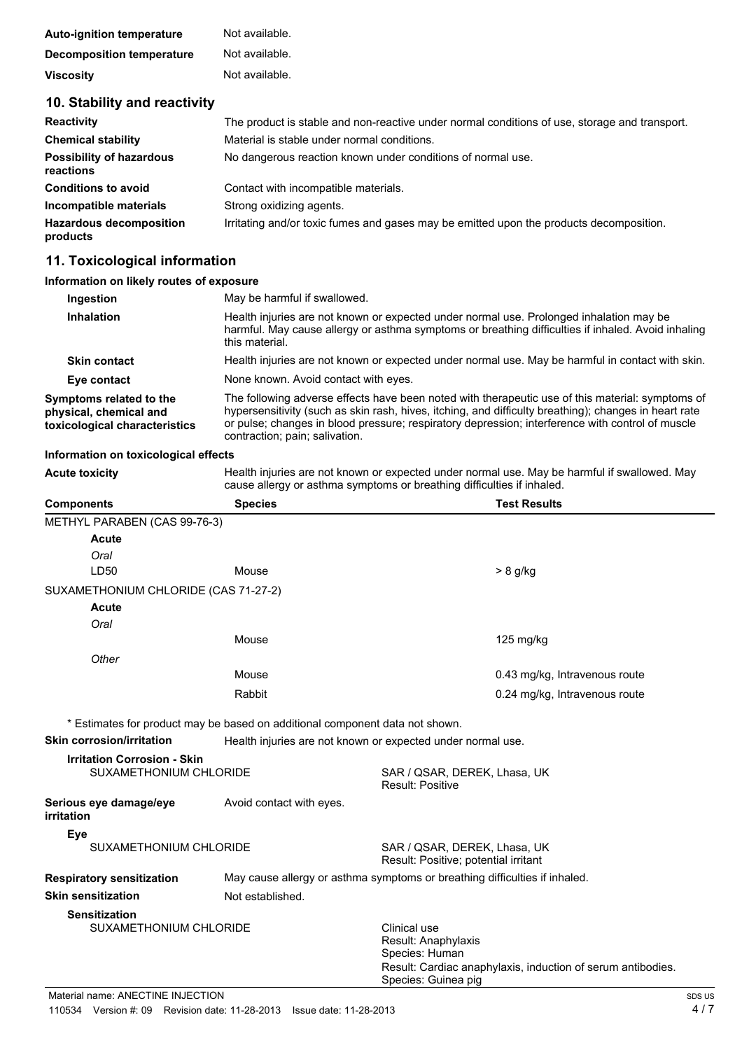| <b>Auto-ignition temperature</b> | Not available. |
|----------------------------------|----------------|
| Decomposition temperature        | Not available. |
| <b>Viscosity</b>                 | Not available. |

### **10. Stability and reactivity**

| <b>Reactivity</b>                            | The product is stable and non-reactive under normal conditions of use, storage and transport. |  |  |
|----------------------------------------------|-----------------------------------------------------------------------------------------------|--|--|
| <b>Chemical stability</b>                    | Material is stable under normal conditions.                                                   |  |  |
| <b>Possibility of hazardous</b><br>reactions | No dangerous reaction known under conditions of normal use.                                   |  |  |
| <b>Conditions to avoid</b>                   | Contact with incompatible materials.                                                          |  |  |
| Incompatible materials                       | Strong oxidizing agents.                                                                      |  |  |
| <b>Hazardous decomposition</b><br>products   | Irritating and/or toxic fumes and gases may be emitted upon the products decomposition.       |  |  |

### **11. Toxicological information**

### **Information on likely routes of exposure**

| Ingestion                                                                          | May be harmful if swallowed.                                                                                                                                                                                                                                                                                                                    |  |
|------------------------------------------------------------------------------------|-------------------------------------------------------------------------------------------------------------------------------------------------------------------------------------------------------------------------------------------------------------------------------------------------------------------------------------------------|--|
| <b>Inhalation</b>                                                                  | Health injuries are not known or expected under normal use. Prolonged inhalation may be<br>harmful. May cause allergy or asthma symptoms or breathing difficulties if inhaled. Avoid inhaling<br>this material.                                                                                                                                 |  |
| <b>Skin contact</b>                                                                | Health injuries are not known or expected under normal use. May be harmful in contact with skin.                                                                                                                                                                                                                                                |  |
| Eye contact                                                                        | None known. Avoid contact with eyes.                                                                                                                                                                                                                                                                                                            |  |
| Symptoms related to the<br>physical, chemical and<br>toxicological characteristics | The following adverse effects have been noted with therapeutic use of this material: symptoms of<br>hypersensitivity (such as skin rash, hives, itching, and difficulty breathing); changes in heart rate<br>or pulse; changes in blood pressure; respiratory depression; interference with control of muscle<br>contraction; pain; salivation. |  |

#### **Information on toxicological effects**

**Acute toxicity** Health injuries are not known or expected under normal use. May be harmful if swallowed. May cause allergy or asthma symptoms or breathing difficulties if inhaled.

| <b>Components</b>                    | <b>Species</b>                                                               | <b>Test Results</b>                                                        |  |
|--------------------------------------|------------------------------------------------------------------------------|----------------------------------------------------------------------------|--|
| METHYL PARABEN (CAS 99-76-3)         |                                                                              |                                                                            |  |
| Acute                                |                                                                              |                                                                            |  |
| Oral                                 |                                                                              |                                                                            |  |
| LD50                                 | Mouse                                                                        | > 8 g/kg                                                                   |  |
| SUXAMETHONIUM CHLORIDE (CAS 71-27-2) |                                                                              |                                                                            |  |
| <b>Acute</b>                         |                                                                              |                                                                            |  |
| Oral                                 |                                                                              |                                                                            |  |
|                                      | Mouse                                                                        | $125 \text{ mg/kg}$                                                        |  |
| Other                                |                                                                              |                                                                            |  |
|                                      | Mouse                                                                        | 0.43 mg/kg, Intravenous route                                              |  |
|                                      | Rabbit                                                                       | 0.24 mg/kg, Intravenous route                                              |  |
|                                      | * Estimates for product may be based on additional component data not shown. |                                                                            |  |
| <b>Skin corrosion/irritation</b>     |                                                                              | Health injuries are not known or expected under normal use.                |  |
| <b>Irritation Corrosion - Skin</b>   |                                                                              |                                                                            |  |
| SUXAMETHONIUM CHLORIDE               |                                                                              | SAR / QSAR, DEREK, Lhasa, UK<br><b>Result: Positive</b>                    |  |
| Serious eye damage/eye<br>irritation | Avoid contact with eyes.                                                     |                                                                            |  |
| Eye                                  |                                                                              |                                                                            |  |
| SUXAMETHONIUM CHLORIDE               |                                                                              | SAR / QSAR, DEREK, Lhasa, UK<br>Result: Positive; potential irritant       |  |
| <b>Respiratory sensitization</b>     |                                                                              | May cause allergy or asthma symptoms or breathing difficulties if inhaled. |  |

# **Skin sensitization** Not established.

**Sensitization**

SUXAMETHONIUM CHLORIDE **CLINICAL CONSTRUSSION** 

Result: Anaphylaxis Species: Human Result: Cardiac anaphylaxis, induction of serum antibodies. Species: Guinea pig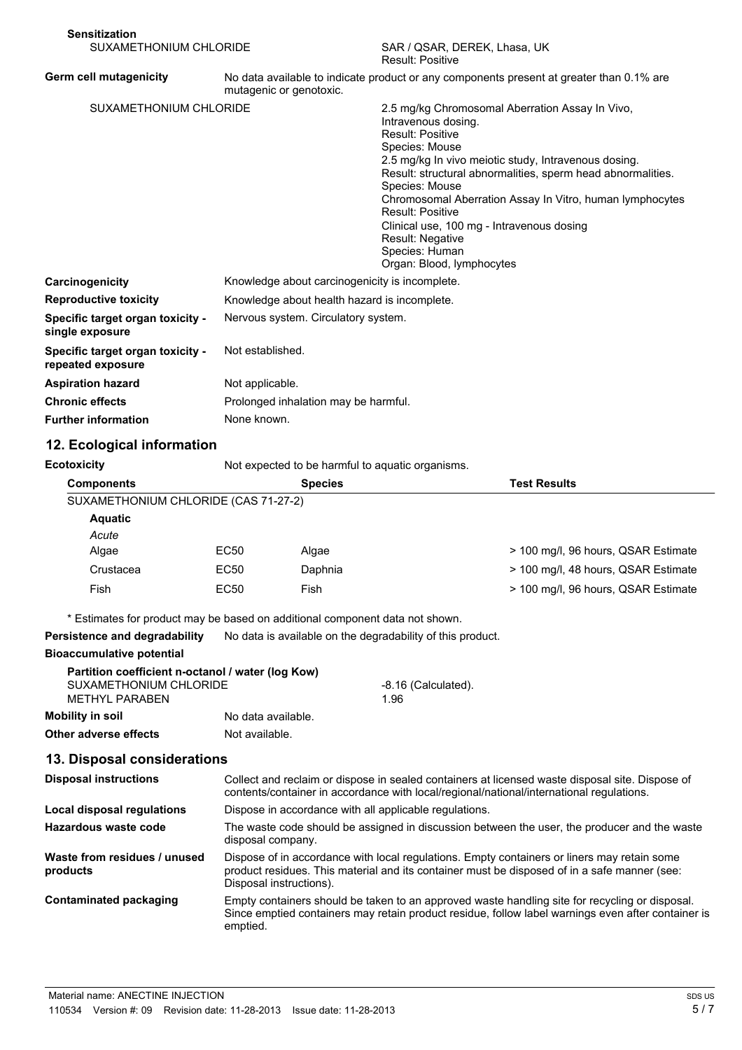| <b>Sensitization</b>                                  |                                                                                                                     |                                                                                                                                                                                                                                                                                                                                                                                                                                                                     |
|-------------------------------------------------------|---------------------------------------------------------------------------------------------------------------------|---------------------------------------------------------------------------------------------------------------------------------------------------------------------------------------------------------------------------------------------------------------------------------------------------------------------------------------------------------------------------------------------------------------------------------------------------------------------|
| SUXAMETHONIUM CHLORIDE                                |                                                                                                                     | SAR / QSAR, DEREK, Lhasa, UK<br>Result: Positive                                                                                                                                                                                                                                                                                                                                                                                                                    |
| Germ cell mutagenicity                                | No data available to indicate product or any components present at greater than 0.1% are<br>mutagenic or genotoxic. |                                                                                                                                                                                                                                                                                                                                                                                                                                                                     |
| SUXAMETHONIUM CHLORIDE                                |                                                                                                                     | 2.5 mg/kg Chromosomal Aberration Assay In Vivo,<br>Intravenous dosing.<br><b>Result: Positive</b><br>Species: Mouse<br>2.5 mg/kg In vivo meiotic study, Intravenous dosing.<br>Result: structural abnormalities, sperm head abnormalities.<br>Species: Mouse<br>Chromosomal Aberration Assay In Vitro, human lymphocytes<br>Result: Positive<br>Clinical use, 100 mg - Intravenous dosing<br><b>Result: Negative</b><br>Species: Human<br>Organ: Blood, lymphocytes |
| Carcinogenicity                                       | Knowledge about carcinogenicity is incomplete.                                                                      |                                                                                                                                                                                                                                                                                                                                                                                                                                                                     |
| <b>Reproductive toxicity</b>                          | Knowledge about health hazard is incomplete.                                                                        |                                                                                                                                                                                                                                                                                                                                                                                                                                                                     |
| Specific target organ toxicity -<br>single exposure   | Nervous system. Circulatory system.                                                                                 |                                                                                                                                                                                                                                                                                                                                                                                                                                                                     |
| Specific target organ toxicity -<br>repeated exposure | Not established.                                                                                                    |                                                                                                                                                                                                                                                                                                                                                                                                                                                                     |
| <b>Aspiration hazard</b>                              | Not applicable.                                                                                                     |                                                                                                                                                                                                                                                                                                                                                                                                                                                                     |
| <b>Chronic effects</b>                                | Prolonged inhalation may be harmful.                                                                                |                                                                                                                                                                                                                                                                                                                                                                                                                                                                     |
| <b>Further information</b>                            | None known.                                                                                                         |                                                                                                                                                                                                                                                                                                                                                                                                                                                                     |

### **12. Ecological information**

**Ecotoxicity** Not expected to be harmful to aquatic organisms.

| <b>Components</b>                    |      | <b>Species</b> | <b>Test Results</b>                 |
|--------------------------------------|------|----------------|-------------------------------------|
| SUXAMETHONIUM CHLORIDE (CAS 71-27-2) |      |                |                                     |
| <b>Aquatic</b>                       |      |                |                                     |
| Acute                                |      |                |                                     |
| Algae                                | EC50 | Algae          | > 100 mg/l, 96 hours, QSAR Estimate |
| Crustacea                            | EC50 | Daphnia        | > 100 mg/l, 48 hours, QSAR Estimate |
| Fish                                 | EC50 | Fish           | > 100 mg/l, 96 hours, QSAR Estimate |

\* Estimates for product may be based on additional component data not shown.

**Persistence and degradability** No data is available on the degradability of this product.

### **Bioaccumulative potential**

|                         | Partition coefficient n-octanol / water (log Kow) |                     |
|-------------------------|---------------------------------------------------|---------------------|
| SUXAMETHONIUM CHLORIDE  |                                                   | -8.16 (Calculated). |
| MFTHYL PARABEN          |                                                   | 1.96                |
| <b>Mobility in soil</b> | No data available.                                |                     |
| Other adverse effects   | Not available.                                    |                     |

### **13. Disposal considerations**

| <b>Disposal instructions</b>             | Collect and reclaim or dispose in sealed containers at licensed waste disposal site. Dispose of<br>contents/container in accordance with local/regional/national/international regulations.                            |
|------------------------------------------|------------------------------------------------------------------------------------------------------------------------------------------------------------------------------------------------------------------------|
| Local disposal regulations               | Dispose in accordance with all applicable regulations.                                                                                                                                                                 |
| Hazardous waste code                     | The waste code should be assigned in discussion between the user, the producer and the waste<br>disposal company.                                                                                                      |
| Waste from residues / unused<br>products | Dispose of in accordance with local regulations. Empty containers or liners may retain some<br>product residues. This material and its container must be disposed of in a safe manner (see:<br>Disposal instructions). |
| <b>Contaminated packaging</b>            | Empty containers should be taken to an approved waste handling site for recycling or disposal.<br>Since emptied containers may retain product residue, follow label warnings even after container is<br>emptied.       |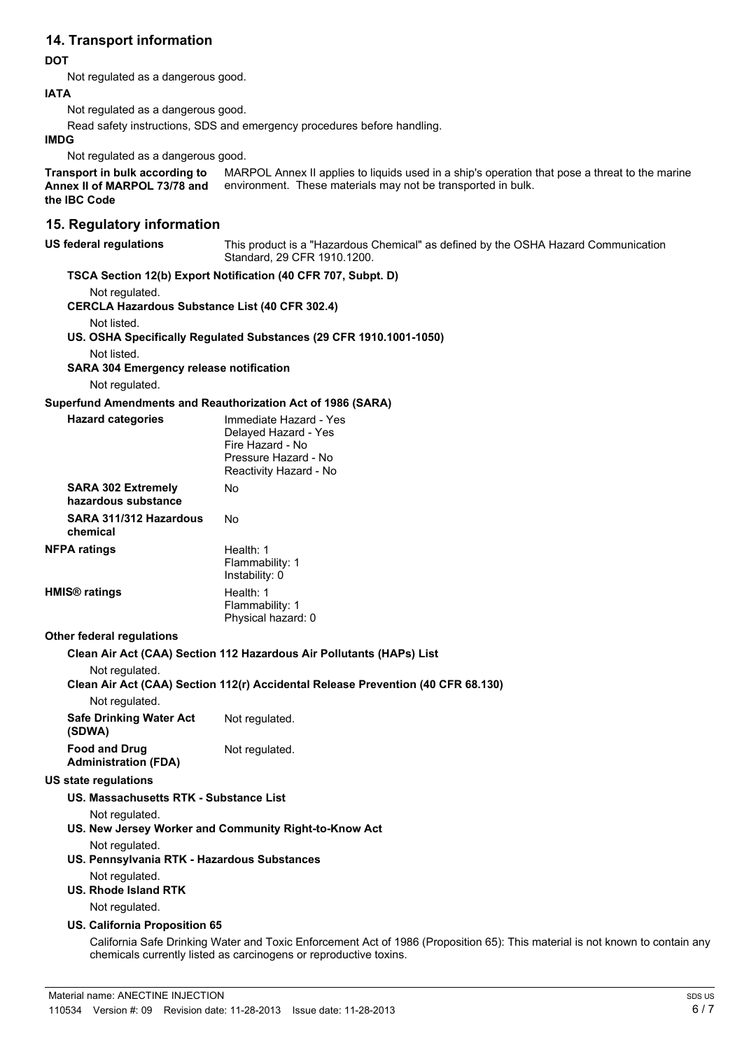### **14. Transport information**

### **DOT**

Not regulated as a dangerous good.

#### **IATA**

Not regulated as a dangerous good.

Read safety instructions, SDS and emergency procedures before handling.

#### **IMDG**

Not regulated as a dangerous good.

MARPOL Annex II applies to liquids used in a ship's operation that pose a threat to the marine environment. These materials may not be transported in bulk. **Transport in bulk according to Annex II of MARPOL 73/78 and the IBC Code**

### **15. Regulatory information**

#### **US federal regulations** This product is a "Hazardous Chemical" as defined by the OSHA Hazard Communication Standard, 29 CFR 1910.1200.

### **TSCA Section 12(b) Export Notification (40 CFR 707, Subpt. D)**

Not regulated.

**CERCLA Hazardous Substance List (40 CFR 302.4)**

Not listed.

**US. OSHA Specifically Regulated Substances (29 CFR 1910.1001-1050)**

Not listed.

**SARA 304 Emergency release notification**

Not regulated.

### **Superfund Amendments and Reauthorization Act of 1986 (SARA)**

| <b>Hazard categories</b>                                        | Immediate Hazard - Yes<br>Delayed Hazard - Yes<br>Fire Hazard - No<br>Pressure Hazard - No<br>Reactivity Hazard - No |
|-----------------------------------------------------------------|----------------------------------------------------------------------------------------------------------------------|
| <b>SARA 302 Extremely</b><br>hazardous substance                | Nο                                                                                                                   |
| SARA 311/312 Hazardous<br>chemical                              | <b>No</b>                                                                                                            |
| <b>NFPA ratings</b>                                             | Health: 1<br>Flammability: 1<br>Instability: 0                                                                       |
| <b>HMIS<sup>®</sup></b> ratings                                 | Health: 1<br>Flammability: 1<br>Physical hazard: 0                                                                   |
| <b>Other federal regulations</b>                                |                                                                                                                      |
|                                                                 | Clean Air Act (CAA) Section 112 Hazardous Air Pollutants (HAPs) List                                                 |
| Not regulated.                                                  | Clean Air Act (CAA) Section 112(r) Accidental Release Prevention (40 CFR 68.130)                                     |
| Not regulated.                                                  |                                                                                                                      |
| <b>Safe Drinking Water Act</b><br>(SDWA)                        | Not regulated.                                                                                                       |
| <b>Food and Drug</b><br><b>Administration (FDA)</b>             | Not regulated.                                                                                                       |
| <b>US state regulations</b>                                     |                                                                                                                      |
| US. Massachusetts RTK - Substance List                          |                                                                                                                      |
| Not regulated.                                                  | US. New Jersey Worker and Community Right-to-Know Act                                                                |
| Not regulated.<br>US. Pennsylvania RTK - Hazardous Substances   |                                                                                                                      |
| Not regulated.<br><b>US. Rhode Island RTK</b><br>Not regulated. |                                                                                                                      |
|                                                                 |                                                                                                                      |

#### **US. California Proposition 65**

California Safe Drinking Water and Toxic Enforcement Act of 1986 (Proposition 65): This material is not known to contain any chemicals currently listed as carcinogens or reproductive toxins.